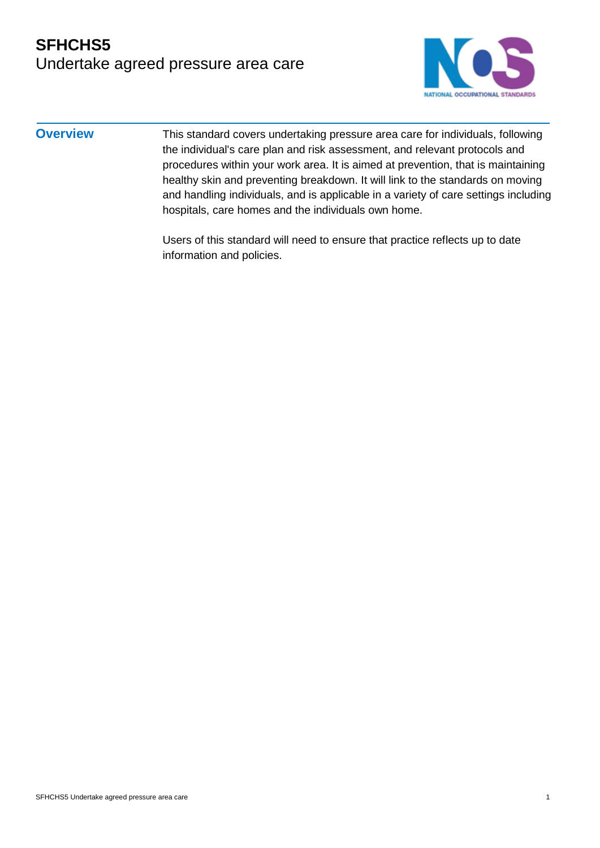#### **SFHCHS5** Undertake agreed pressure area care



**Overview** This standard covers undertaking pressure area care for individuals, following the individual's care plan and risk assessment, and relevant protocols and procedures within your work area. It is aimed at prevention, that is maintaining healthy skin and preventing breakdown. It will link to the standards on moving and handling individuals, and is applicable in a variety of care settings including hospitals, care homes and the individuals own home.

> Users of this standard will need to ensure that practice reflects up to date information and policies.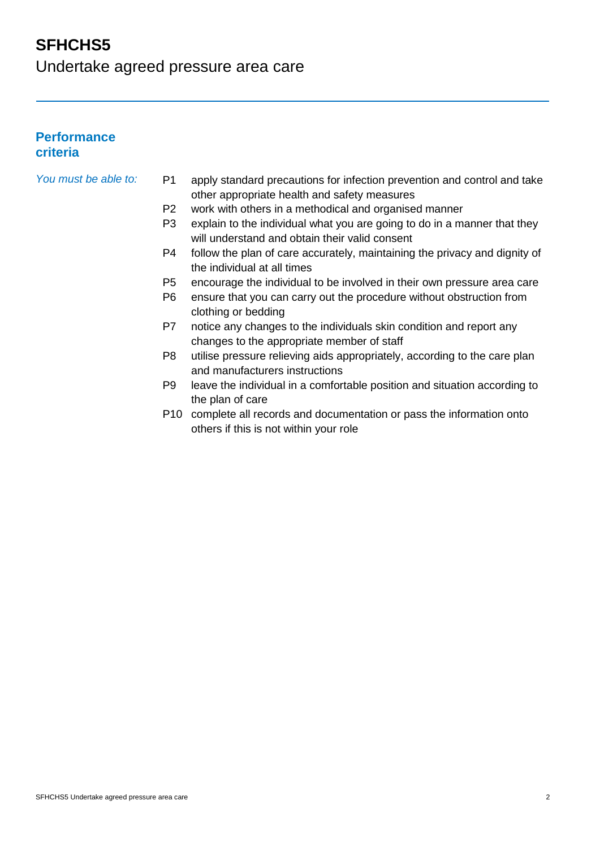Undertake agreed pressure area care

#### **Performance criteria**

- *You must be able to:* P1 apply standard precautions for infection prevention and control and take other appropriate health and safety measures
	- P2 work with others in a methodical and organised manner
	- P3 explain to the individual what you are going to do in a manner that they will understand and obtain their valid consent
	- P4 follow the plan of care accurately, maintaining the privacy and dignity of the individual at all times
	- P5 encourage the individual to be involved in their own pressure area care
	- P6 ensure that you can carry out the procedure without obstruction from clothing or bedding
	- P7 notice any changes to the individuals skin condition and report any changes to the appropriate member of staff
	- P8 utilise pressure relieving aids appropriately, according to the care plan and manufacturers instructions
	- P9 leave the individual in a comfortable position and situation according to the plan of care
	- P10 complete all records and documentation or pass the information onto others if this is not within your role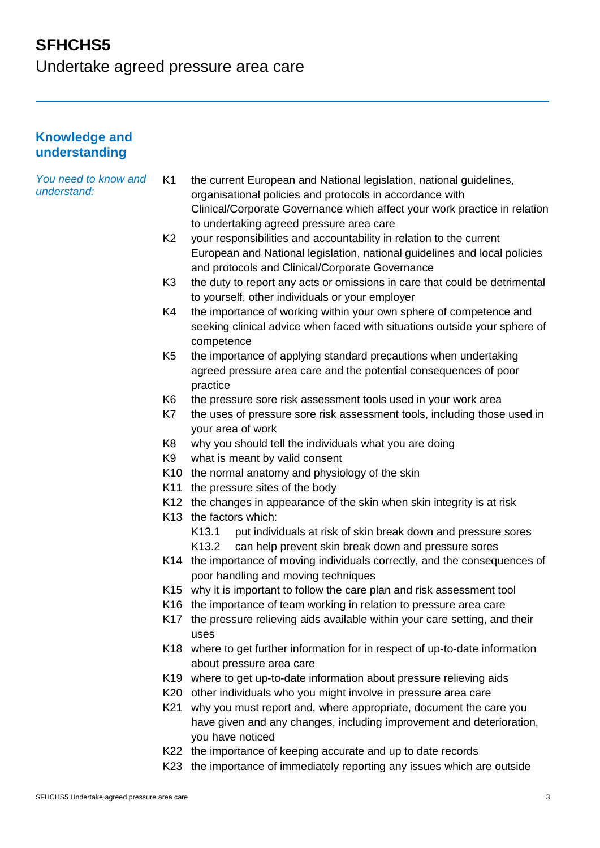# **SFHCHS5** Undertake agreed pressure area care

**Knowledge and understanding**

| You need to know and<br>understand: | K1             | the current European and National legislation, national guidelines,                                                                   |
|-------------------------------------|----------------|---------------------------------------------------------------------------------------------------------------------------------------|
|                                     |                | organisational policies and protocols in accordance with<br>Clinical/Corporate Governance which affect your work practice in relation |
|                                     |                | to undertaking agreed pressure area care                                                                                              |
|                                     | K <sub>2</sub> | your responsibilities and accountability in relation to the current                                                                   |
|                                     |                | European and National legislation, national guidelines and local policies                                                             |
|                                     |                | and protocols and Clinical/Corporate Governance                                                                                       |
|                                     | K <sub>3</sub> | the duty to report any acts or omissions in care that could be detrimental<br>to yourself, other individuals or your employer         |
|                                     | K4             | the importance of working within your own sphere of competence and                                                                    |
|                                     |                | seeking clinical advice when faced with situations outside your sphere of<br>competence                                               |
|                                     | K <sub>5</sub> | the importance of applying standard precautions when undertaking                                                                      |
|                                     |                | agreed pressure area care and the potential consequences of poor                                                                      |
|                                     |                | practice                                                                                                                              |
|                                     | K6             | the pressure sore risk assessment tools used in your work area                                                                        |
|                                     | K7             | the uses of pressure sore risk assessment tools, including those used in                                                              |
|                                     |                | your area of work                                                                                                                     |
|                                     | K <sub>8</sub> | why you should tell the individuals what you are doing                                                                                |
|                                     | K <sub>9</sub> | what is meant by valid consent                                                                                                        |
|                                     |                | K10 the normal anatomy and physiology of the skin                                                                                     |
|                                     |                | K11 the pressure sites of the body                                                                                                    |
|                                     |                | K12 the changes in appearance of the skin when skin integrity is at risk                                                              |
|                                     |                | K13 the factors which:                                                                                                                |
|                                     |                | put individuals at risk of skin break down and pressure sores<br>K13.1                                                                |
|                                     |                | can help prevent skin break down and pressure sores<br>K13.2                                                                          |
|                                     |                | K14 the importance of moving individuals correctly, and the consequences of                                                           |
|                                     |                | poor handling and moving techniques                                                                                                   |
|                                     |                | K15 why it is important to follow the care plan and risk assessment tool                                                              |
|                                     |                | K16 the importance of team working in relation to pressure area care                                                                  |
|                                     |                | K17 the pressure relieving aids available within your care setting, and their<br>uses                                                 |
|                                     |                | K18 where to get further information for in respect of up-to-date information<br>about pressure area care                             |
|                                     |                | K19 where to get up-to-date information about pressure relieving aids                                                                 |
|                                     |                | K20 other individuals who you might involve in pressure area care                                                                     |
|                                     | K21            | why you must report and, where appropriate, document the care you                                                                     |
|                                     |                | have given and any changes, including improvement and deterioration,<br>you have noticed                                              |
|                                     |                | K22 the importance of keeping accurate and up to date records                                                                         |
|                                     |                |                                                                                                                                       |

K23 the importance of immediately reporting any issues which are outside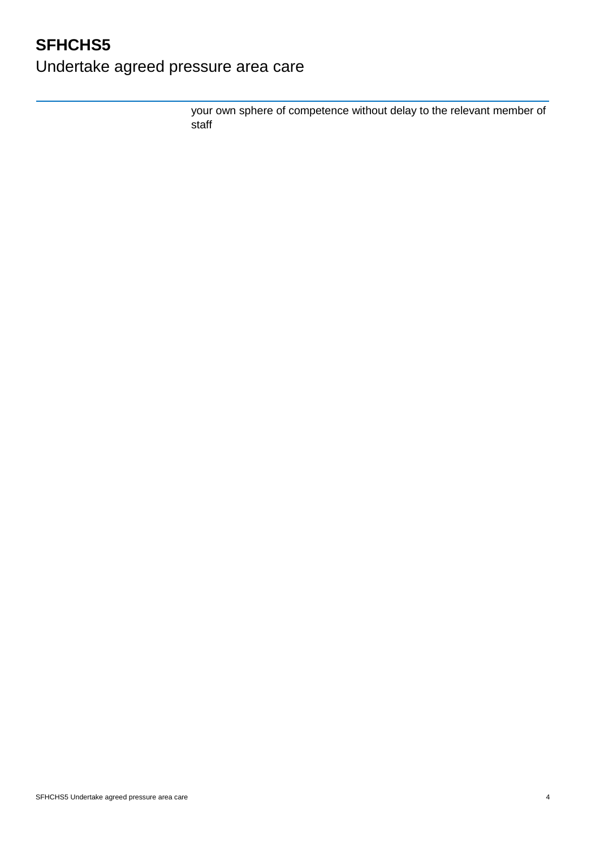Undertake agreed pressure area care

your own sphere of competence without delay to the relevant member of staff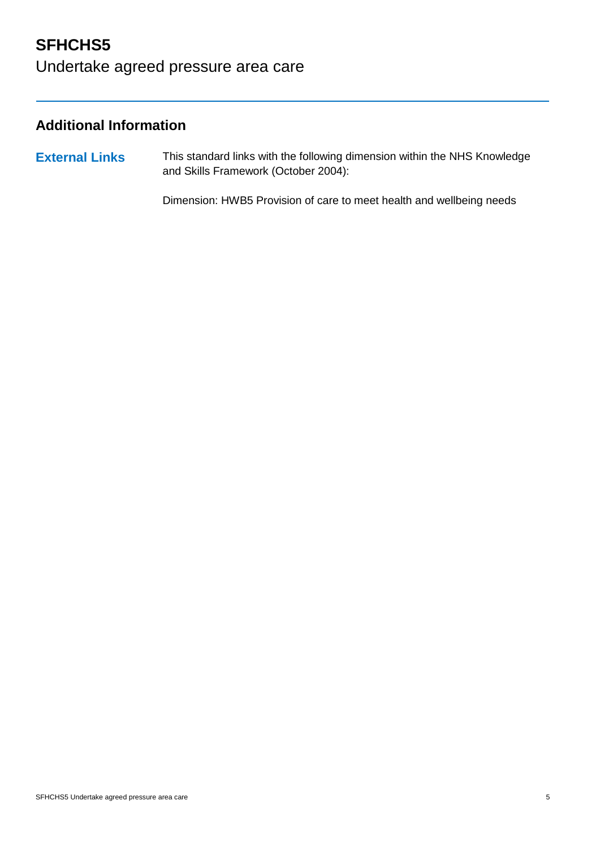# Undertake agreed pressure area care

#### **Additional Information**

**External Links** This standard links with the following dimension within the NHS Knowledge and Skills Framework (October 2004):

Dimension: HWB5 Provision of care to meet health and wellbeing needs